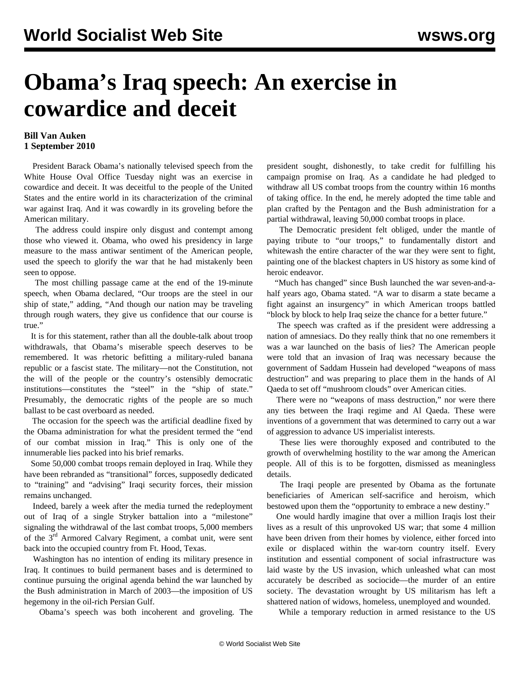## **Obama's Iraq speech: An exercise in cowardice and deceit**

## **Bill Van Auken 1 September 2010**

 President Barack Obama's nationally televised speech from the White House Oval Office Tuesday night was an exercise in cowardice and deceit. It was deceitful to the people of the United States and the entire world in its characterization of the criminal war against Iraq. And it was cowardly in its groveling before the American military.

 The address could inspire only disgust and contempt among those who viewed it. Obama, who owed his presidency in large measure to the mass antiwar sentiment of the American people, used the speech to glorify the war that he had mistakenly been seen to oppose.

 The most chilling passage came at the end of the 19-minute speech, when Obama declared, "Our troops are the steel in our ship of state," adding, "And though our nation may be traveling through rough waters, they give us confidence that our course is true."

 It is for this statement, rather than all the double-talk about troop withdrawals, that Obama's miserable speech deserves to be remembered. It was rhetoric befitting a military-ruled banana republic or a fascist state. The military—not the Constitution, not the will of the people or the country's ostensibly democratic institutions—constitutes the "steel" in the "ship of state." Presumably, the democratic rights of the people are so much ballast to be cast overboard as needed.

 The occasion for the speech was the artificial deadline fixed by the Obama administration for what the president termed the "end of our combat mission in Iraq." This is only one of the innumerable lies packed into his brief remarks.

 Some 50,000 combat troops remain deployed in Iraq. While they have been rebranded as "transitional" forces, supposedly dedicated to "training" and "advising" Iraqi security forces, their mission remains unchanged.

 Indeed, barely a week after the media turned the redeployment out of Iraq of a single Stryker battalion into a "milestone" signaling the withdrawal of the last combat troops, 5,000 members of the 3<sup>rd</sup> Armored Calvary Regiment, a combat unit, were sent back into the occupied country from Ft. Hood, Texas.

 Washington has no intention of ending its military presence in Iraq. It continues to build permanent bases and is determined to continue pursuing the original agenda behind the war launched by the Bush administration in March of 2003—the imposition of US hegemony in the oil-rich Persian Gulf.

Obama's speech was both incoherent and groveling. The

president sought, dishonestly, to take credit for fulfilling his campaign promise on Iraq. As a candidate he had pledged to withdraw all US combat troops from the country within 16 months of taking office. In the end, he merely adopted the time table and plan crafted by the Pentagon and the Bush administration for a partial withdrawal, leaving 50,000 combat troops in place.

 The Democratic president felt obliged, under the mantle of paying tribute to "our troops," to fundamentally distort and whitewash the entire character of the war they were sent to fight, painting one of the blackest chapters in US history as some kind of heroic endeavor.

 "Much has changed" since Bush launched the war seven-and-ahalf years ago, Obama stated. "A war to disarm a state became a fight against an insurgency" in which American troops battled "block by block to help Iraq seize the chance for a better future."

 The speech was crafted as if the president were addressing a nation of amnesiacs. Do they really think that no one remembers it was a war launched on the basis of lies? The American people were told that an invasion of Iraq was necessary because the government of Saddam Hussein had developed "weapons of mass destruction" and was preparing to place them in the hands of Al Qaeda to set off "mushroom clouds" over American cities.

 There were no "weapons of mass destruction," nor were there any ties between the Iraqi regime and Al Qaeda. These were inventions of a government that was determined to carry out a war of aggression to advance US imperialist interests.

 These lies were thoroughly exposed and contributed to the growth of overwhelming hostility to the war among the American people. All of this is to be forgotten, dismissed as meaningless details.

 The Iraqi people are presented by Obama as the fortunate beneficiaries of American self-sacrifice and heroism, which bestowed upon them the "opportunity to embrace a new destiny."

 One would hardly imagine that over a million Iraqis lost their lives as a result of this unprovoked US war; that some 4 million have been driven from their homes by violence, either forced into exile or displaced within the war-torn country itself. Every institution and essential component of social infrastructure was laid waste by the US invasion, which unleashed what can most accurately be described as sociocide—the murder of an entire society. The devastation wrought by US militarism has left a shattered nation of widows, homeless, unemployed and wounded.

While a temporary reduction in armed resistance to the US